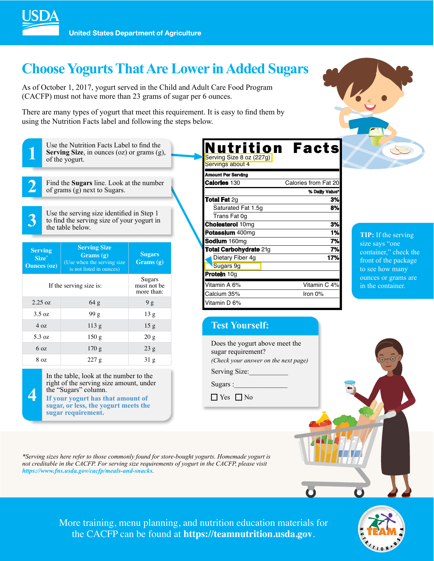

# **Choose Yogurts That Are Lower in Added Sugars**

As of October 1, 2017, yogurt served in the Child and Adult Care Food Program (CACFP) must not have more than 23 grams of sugar per 6 ounces.

There are many types of yogurt that meet this requirement. It is easy to find them by using the Nutrition Facts label and following the steps below.



**1** Use the Nutrition Facts Label to find the **Serving Size**, in ounces (oz) or grams (g) of the yogurt. **Serving Size**, in ounces (oz) or grams (g), of the yogurt.

**2** Find the **Sugars** line. Look at the number of grams (g) next to Sugars.

Use the serving size identified in Step 1 to find the serving size of your yogurt in the table below. to find the serving size of your yogurt in the table below.

| <b>Serving</b><br>Size <sup>*</sup><br><b>Ounces (oz)</b> | <b>Serving Size</b><br>Grams(g)<br>(Use when the serving size)<br>is not listed in ounces) | <b>Sugars</b><br>Grams(g) |  |  |
|-----------------------------------------------------------|--------------------------------------------------------------------------------------------|---------------------------|--|--|
| If the serving size is:                                   | Sugars<br>must not be<br>more than:                                                        |                           |  |  |
| $2.25 \text{ oz}$                                         | 64 g                                                                                       | 9g                        |  |  |
| $3.5 \text{ oz}$                                          | 99g                                                                                        | 13g                       |  |  |
| 40z                                                       | 113g                                                                                       | 15 <sub>g</sub>           |  |  |
| 5.3 oz                                                    | 150g                                                                                       | 20g                       |  |  |
| 6 oz                                                      | 170g                                                                                       | 23g                       |  |  |
| 8 oz                                                      | 227g                                                                                       | 31 <sub>g</sub>           |  |  |



In the table, look at the number to the right of the serving size amount, under the "Sugars" column.

**If your yogurt has that amount of sugar, or less, the yogurt meets the sugar requirement.** 

| Nutrition                     | <b>Facts</b>         |
|-------------------------------|----------------------|
| Serving Size 8 oz (227g)      |                      |
| Servings about 4              |                      |
| <b>Amount Per Serving</b>     |                      |
| <b>Calories 130</b>           | Calories from Fat 20 |
|                               | % Daily Value*       |
| <b>Total Fat 2g</b>           | 3%                   |
| Saturated Fat 1.5g            | 8%                   |
| Trans Fat 0g                  |                      |
| <b>Cholesterol 10mg</b>       | 3%                   |
| Potassium 400mg               | 1%                   |
| Sodium 160mg                  | 7%                   |
| <b>Total Carbohydrate 21g</b> | 7%                   |
| Dietary Fiber 4g              | 17%                  |
| Sugars 9g                     |                      |
| <b>Protein 10g</b>            |                      |
| Vitamin A 6%                  | Vitamin C 4%         |
| Calcium 35%                   | Iron $0\%$           |
| Vitamin D 6%                  |                      |

**TIP:** If the serving size says "one container," check the front of the package to see how many ounces or grams are in the container.

### **Test Yourself:**

Does the yogurt above meet the sugar requirement? *(Check your answer on the next page)* Serving Size:

Sugars :

 $\Box$  Yes  $\Box$  No

֦

*\*Serving sizes here refer to those commonly found for store-bought yogurts. Homemade yogurt is not creditable in the CACFP. For serving size requirements of yogurt in the CACFP, please visit https://www.fns.usda.gov/cacfp/meals-and-snacks.*

> More training, menu planning, and nutrition education materials for the CACFP can be found at **https://teamnutrition.usda.gov**.